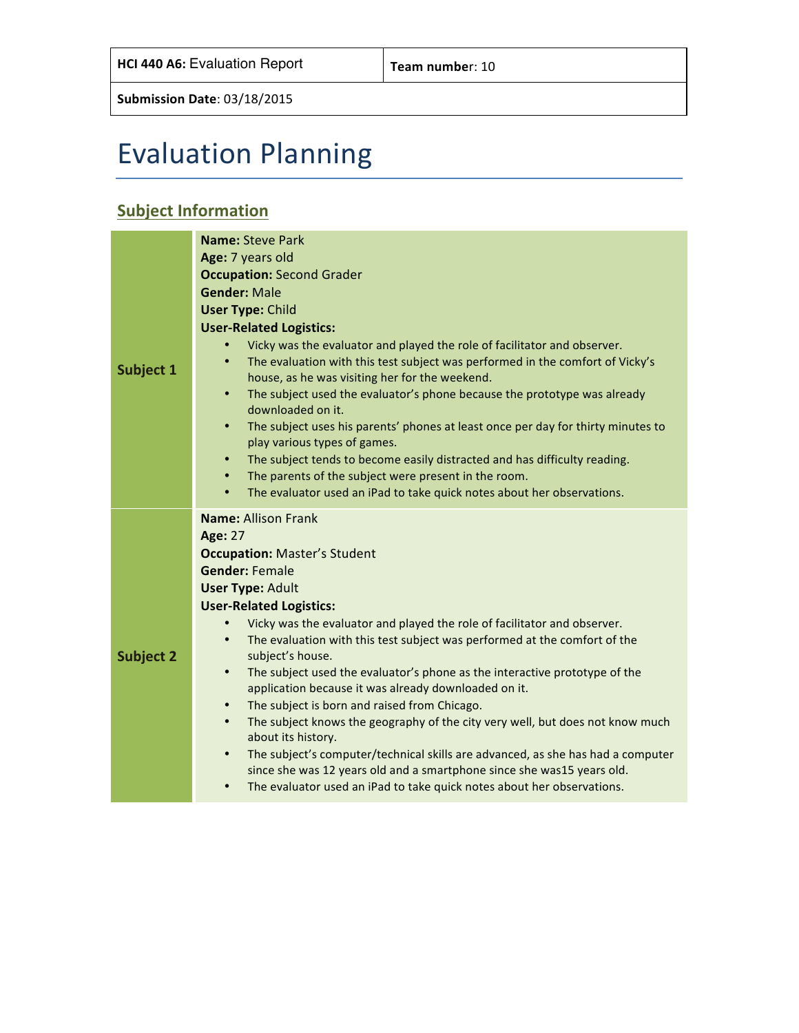# Evaluation Planning

### **Subject Information**

|                  | <b>Name: Steve Park</b>                                                                                                                                                                                                                                       |  |  |  |  |  |
|------------------|---------------------------------------------------------------------------------------------------------------------------------------------------------------------------------------------------------------------------------------------------------------|--|--|--|--|--|
|                  | Age: 7 years old                                                                                                                                                                                                                                              |  |  |  |  |  |
|                  | <b>Occupation: Second Grader</b>                                                                                                                                                                                                                              |  |  |  |  |  |
|                  | <b>Gender: Male</b>                                                                                                                                                                                                                                           |  |  |  |  |  |
|                  | <b>User Type: Child</b>                                                                                                                                                                                                                                       |  |  |  |  |  |
|                  | <b>User-Related Logistics:</b>                                                                                                                                                                                                                                |  |  |  |  |  |
| Subject 1        | Vicky was the evaluator and played the role of facilitator and observer.<br>The evaluation with this test subject was performed in the comfort of Vicky's<br>$\bullet$<br>house, as he was visiting her for the weekend.                                      |  |  |  |  |  |
|                  | $\bullet$<br>The subject used the evaluator's phone because the prototype was already<br>downloaded on it.                                                                                                                                                    |  |  |  |  |  |
|                  | The subject uses his parents' phones at least once per day for thirty minutes to<br>$\bullet$<br>play various types of games.                                                                                                                                 |  |  |  |  |  |
|                  | The subject tends to become easily distracted and has difficulty reading.<br>$\bullet$                                                                                                                                                                        |  |  |  |  |  |
|                  | The parents of the subject were present in the room.<br>$\bullet$                                                                                                                                                                                             |  |  |  |  |  |
|                  | The evaluator used an iPad to take quick notes about her observations.<br>$\bullet$                                                                                                                                                                           |  |  |  |  |  |
|                  | <b>Name: Allison Frank</b>                                                                                                                                                                                                                                    |  |  |  |  |  |
|                  | <b>Age: 27</b>                                                                                                                                                                                                                                                |  |  |  |  |  |
|                  | <b>Occupation: Master's Student</b>                                                                                                                                                                                                                           |  |  |  |  |  |
|                  | <b>Gender: Female</b>                                                                                                                                                                                                                                         |  |  |  |  |  |
|                  | <b>User Type: Adult</b>                                                                                                                                                                                                                                       |  |  |  |  |  |
|                  | <b>User-Related Logistics:</b>                                                                                                                                                                                                                                |  |  |  |  |  |
|                  | Vicky was the evaluator and played the role of facilitator and observer.<br>$\bullet$                                                                                                                                                                         |  |  |  |  |  |
| <b>Subject 2</b> | The evaluation with this test subject was performed at the comfort of the<br>$\bullet$<br>subject's house.                                                                                                                                                    |  |  |  |  |  |
|                  | The subject used the evaluator's phone as the interactive prototype of the<br>$\bullet$<br>application because it was already downloaded on it.                                                                                                               |  |  |  |  |  |
|                  | The subject is born and raised from Chicago.<br>$\bullet$                                                                                                                                                                                                     |  |  |  |  |  |
|                  | The subject knows the geography of the city very well, but does not know much<br>$\bullet$<br>about its history.                                                                                                                                              |  |  |  |  |  |
|                  | The subject's computer/technical skills are advanced, as she has had a computer<br>$\bullet$<br>since she was 12 years old and a smartphone since she was15 years old.<br>The evaluator used an iPad to take quick notes about her observations.<br>$\bullet$ |  |  |  |  |  |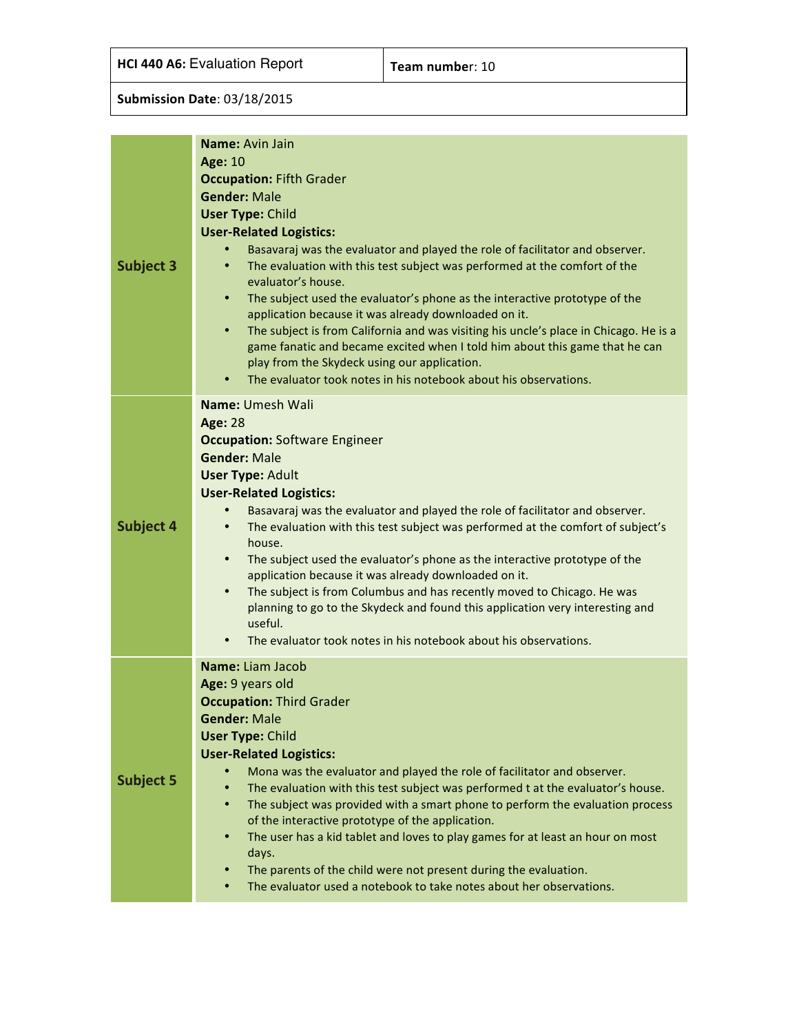**HCI 440 A6:** Evaluation Report **Team number:** 10

| <b>Subject 3</b> | Name: Avin Jain<br><b>Age: 10</b><br><b>Occupation: Fifth Grader</b><br><b>Gender: Male</b><br><b>User Type: Child</b><br><b>User-Related Logistics:</b><br>Basavaraj was the evaluator and played the role of facilitator and observer.<br>The evaluation with this test subject was performed at the comfort of the<br>evaluator's house.<br>The subject used the evaluator's phone as the interactive prototype of the<br>$\bullet$<br>application because it was already downloaded on it.                                                                                                                                                                                                                                                                     |
|------------------|--------------------------------------------------------------------------------------------------------------------------------------------------------------------------------------------------------------------------------------------------------------------------------------------------------------------------------------------------------------------------------------------------------------------------------------------------------------------------------------------------------------------------------------------------------------------------------------------------------------------------------------------------------------------------------------------------------------------------------------------------------------------|
|                  | The subject is from California and was visiting his uncle's place in Chicago. He is a<br>٠<br>game fanatic and became excited when I told him about this game that he can<br>play from the Skydeck using our application.<br>The evaluator took notes in his notebook about his observations.<br>٠                                                                                                                                                                                                                                                                                                                                                                                                                                                                 |
| <b>Subject 4</b> | Name: Umesh Wali<br><b>Age: 28</b><br><b>Occupation: Software Engineer</b><br><b>Gender: Male</b><br><b>User Type: Adult</b><br><b>User-Related Logistics:</b><br>Basavaraj was the evaluator and played the role of facilitator and observer.<br>The evaluation with this test subject was performed at the comfort of subject's<br>house.<br>The subject used the evaluator's phone as the interactive prototype of the<br>$\bullet$<br>application because it was already downloaded on it.<br>The subject is from Columbus and has recently moved to Chicago. He was<br>$\bullet$<br>planning to go to the Skydeck and found this application very interesting and<br>useful.<br>The evaluator took notes in his notebook about his observations.<br>$\bullet$ |
| <b>Subject 5</b> | Name: Liam Jacob<br>Age: 9 years old<br><b>Occupation: Third Grader</b><br><b>Gender: Male</b><br><b>User Type: Child</b><br><b>User-Related Logistics:</b><br>Mona was the evaluator and played the role of facilitator and observer.<br>The evaluation with this test subject was performed t at the evaluator's house.<br>$\bullet$<br>The subject was provided with a smart phone to perform the evaluation process<br>$\bullet$<br>of the interactive prototype of the application.<br>The user has a kid tablet and loves to play games for at least an hour on most<br>٠<br>days.<br>The parents of the child were not present during the evaluation.<br>The evaluator used a notebook to take notes about her observations.                                |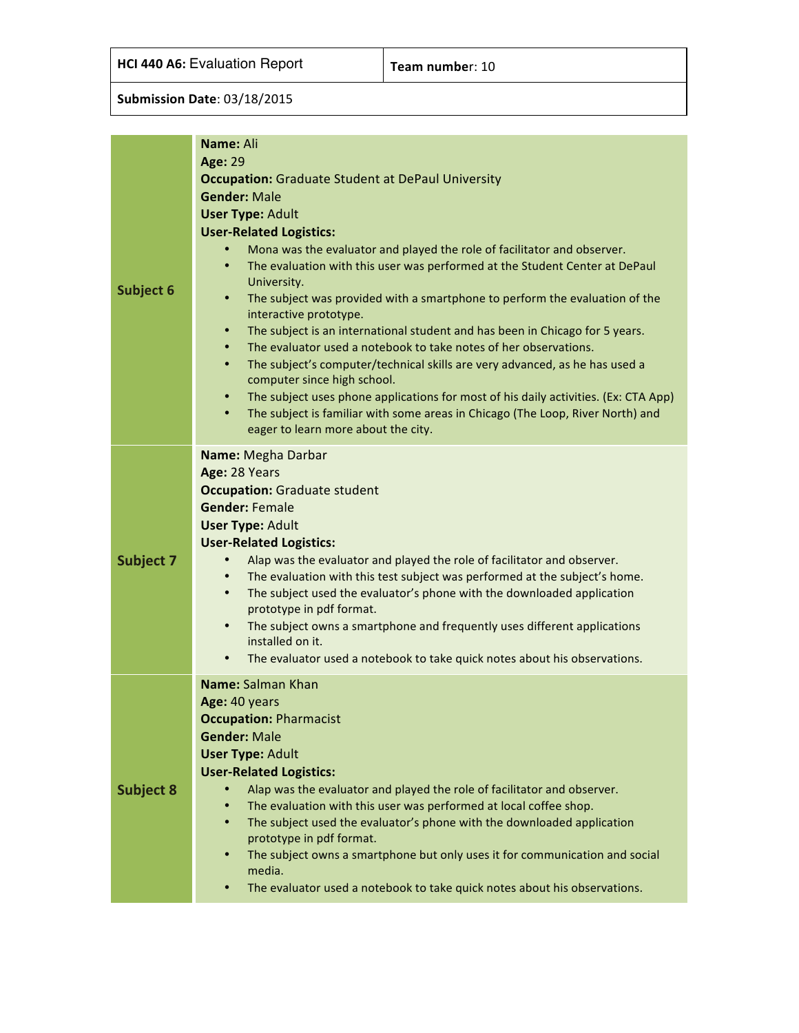| Subject 6        | Name: Ali<br><b>Age: 29</b><br><b>Occupation:</b> Graduate Student at DePaul University<br><b>Gender: Male</b><br><b>User Type: Adult</b><br><b>User-Related Logistics:</b><br>Mona was the evaluator and played the role of facilitator and observer.<br>The evaluation with this user was performed at the Student Center at DePaul<br>$\bullet$<br>University.<br>The subject was provided with a smartphone to perform the evaluation of the<br>٠<br>interactive prototype.<br>The subject is an international student and has been in Chicago for 5 years.<br>$\bullet$<br>The evaluator used a notebook to take notes of her observations.<br>٠<br>The subject's computer/technical skills are very advanced, as he has used a<br>$\bullet$<br>computer since high school.<br>The subject uses phone applications for most of his daily activities. (Ex: CTA App)<br>٠<br>The subject is familiar with some areas in Chicago (The Loop, River North) and<br>$\bullet$<br>eager to learn more about the city. |
|------------------|--------------------------------------------------------------------------------------------------------------------------------------------------------------------------------------------------------------------------------------------------------------------------------------------------------------------------------------------------------------------------------------------------------------------------------------------------------------------------------------------------------------------------------------------------------------------------------------------------------------------------------------------------------------------------------------------------------------------------------------------------------------------------------------------------------------------------------------------------------------------------------------------------------------------------------------------------------------------------------------------------------------------|
| <b>Subject 7</b> | Name: Megha Darbar<br>Age: 28 Years<br><b>Occupation: Graduate student</b><br><b>Gender: Female</b><br><b>User Type: Adult</b><br><b>User-Related Logistics:</b><br>Alap was the evaluator and played the role of facilitator and observer.<br>The evaluation with this test subject was performed at the subject's home.<br>$\bullet$<br>The subject used the evaluator's phone with the downloaded application<br>$\bullet$<br>prototype in pdf format.<br>The subject owns a smartphone and frequently uses different applications<br>$\bullet$<br>installed on it.<br>The evaluator used a notebook to take quick notes about his observations.<br>$\bullet$                                                                                                                                                                                                                                                                                                                                                   |
| <b>Subject 8</b> | Name: Salman Khan<br>Age: 40 years<br><b>Occupation: Pharmacist</b><br><b>Gender: Male</b><br><b>User Type: Adult</b><br><b>User-Related Logistics:</b><br>Alap was the evaluator and played the role of facilitator and observer.<br>The evaluation with this user was performed at local coffee shop.<br>$\bullet$<br>The subject used the evaluator's phone with the downloaded application<br>$\bullet$<br>prototype in pdf format.<br>The subject owns a smartphone but only uses it for communication and social<br>٠<br>media.<br>The evaluator used a notebook to take quick notes about his observations.<br>$\bullet$                                                                                                                                                                                                                                                                                                                                                                                    |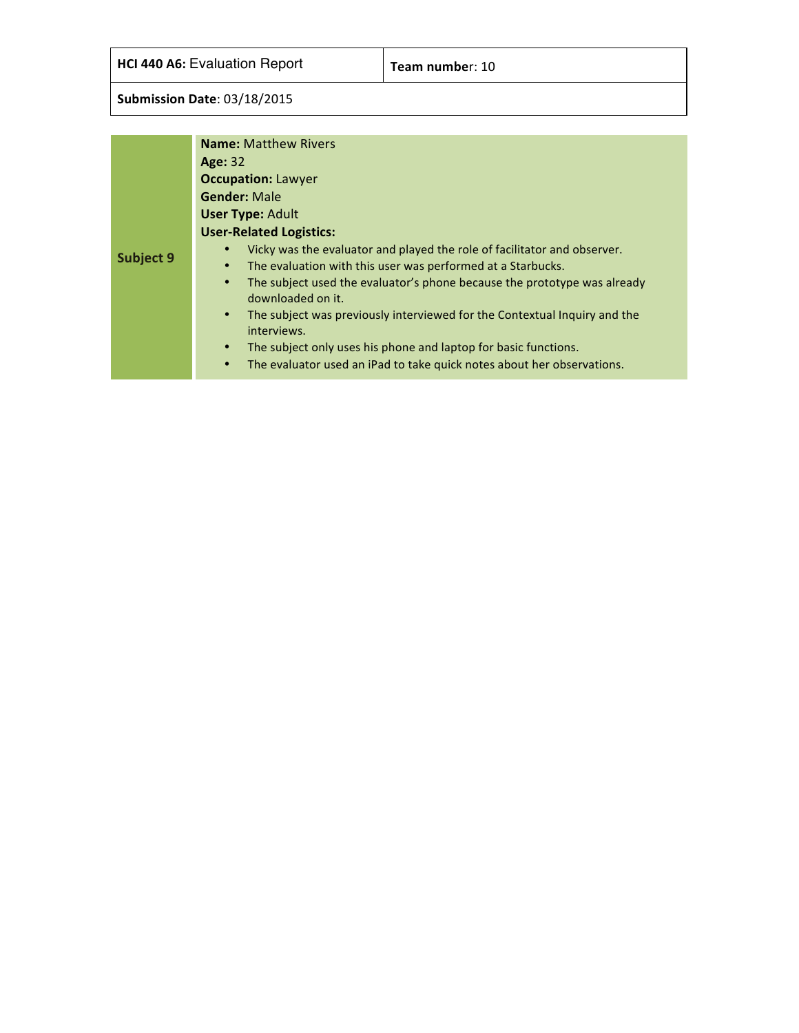**HCI 440 A6:** Evaluation Report **Team number:** 10

|           | <b>Name: Matthew Rivers</b>                                                                                |  |  |  |  |  |  |  |
|-----------|------------------------------------------------------------------------------------------------------------|--|--|--|--|--|--|--|
|           | Age: 32                                                                                                    |  |  |  |  |  |  |  |
|           | <b>Occupation: Lawyer</b>                                                                                  |  |  |  |  |  |  |  |
|           | <b>Gender: Male</b>                                                                                        |  |  |  |  |  |  |  |
|           | <b>User Type: Adult</b>                                                                                    |  |  |  |  |  |  |  |
|           | <b>User-Related Logistics:</b>                                                                             |  |  |  |  |  |  |  |
|           | Vicky was the evaluator and played the role of facilitator and observer.                                   |  |  |  |  |  |  |  |
| Subject 9 | The evaluation with this user was performed at a Starbucks.<br>$\bullet$                                   |  |  |  |  |  |  |  |
|           | The subject used the evaluator's phone because the prototype was already<br>$\bullet$<br>downloaded on it. |  |  |  |  |  |  |  |
|           | The subject was previously interviewed for the Contextual Inquiry and the<br>$\bullet$<br>interviews.      |  |  |  |  |  |  |  |
|           | The subject only uses his phone and laptop for basic functions.<br>$\bullet$                               |  |  |  |  |  |  |  |
|           | The evaluator used an iPad to take quick notes about her observations.<br>$\bullet$                        |  |  |  |  |  |  |  |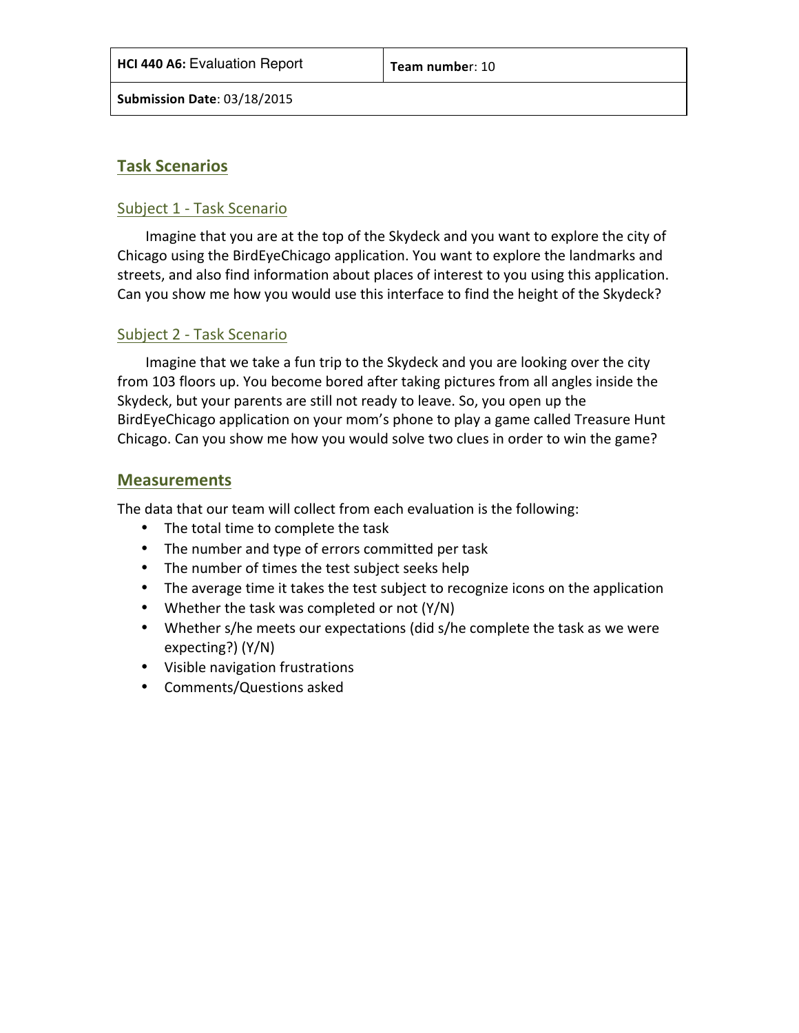#### **Task Scenarios**

#### Subject 1 - Task Scenario

Imagine that you are at the top of the Skydeck and you want to explore the city of Chicago using the BirdEyeChicago application. You want to explore the landmarks and streets, and also find information about places of interest to you using this application. Can you show me how you would use this interface to find the height of the Skydeck?

#### Subject 2 - Task Scenario

Imagine that we take a fun trip to the Skydeck and you are looking over the city from 103 floors up. You become bored after taking pictures from all angles inside the Skydeck, but your parents are still not ready to leave. So, you open up the BirdEyeChicago application on your mom's phone to play a game called Treasure Hunt Chicago. Can you show me how you would solve two clues in order to win the game?

#### **Measurements**

The data that our team will collect from each evaluation is the following:

- The total time to complete the task
- The number and type of errors committed per task
- The number of times the test subject seeks help
- The average time it takes the test subject to recognize icons on the application
- Whether the task was completed or not  $(Y/N)$
- Whether s/he meets our expectations (did s/he complete the task as we were expecting?) (Y/N)
- Visible navigation frustrations
- Comments/Questions asked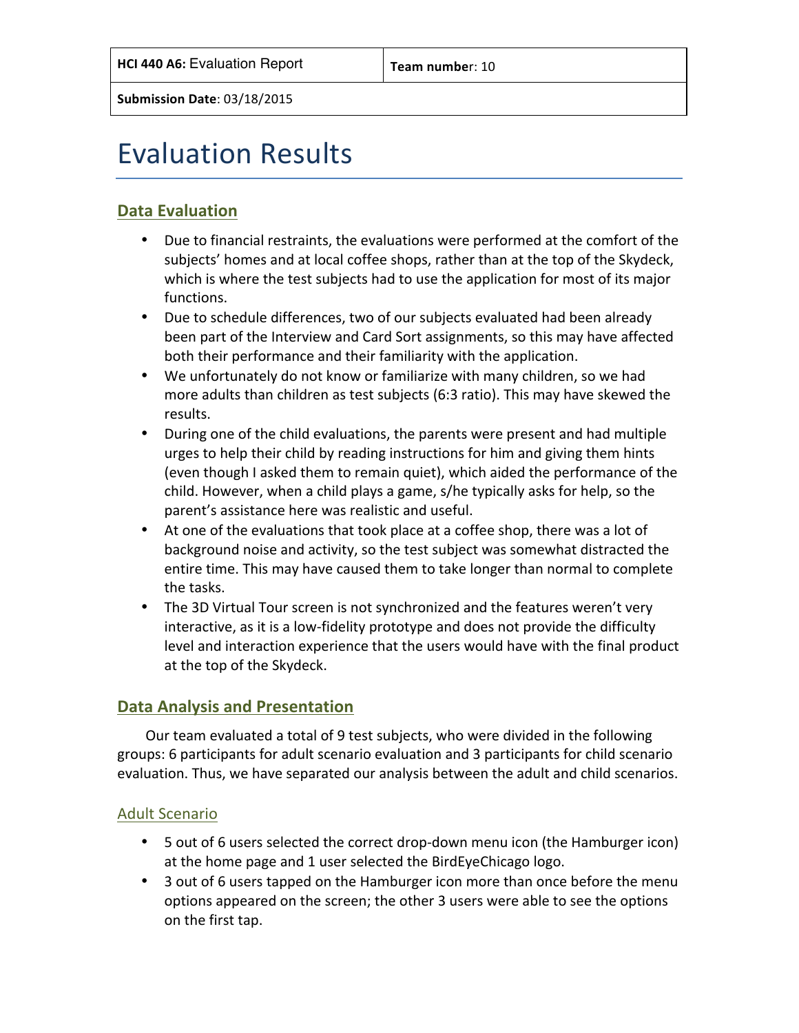## Evaluation Results

#### **Data Evaluation**

- Due to financial restraints, the evaluations were performed at the comfort of the subjects' homes and at local coffee shops, rather than at the top of the Skydeck, which is where the test subjects had to use the application for most of its major functions.
- Due to schedule differences, two of our subjects evaluated had been already been part of the Interview and Card Sort assignments, so this may have affected both their performance and their familiarity with the application.
- We unfortunately do not know or familiarize with many children, so we had more adults than children as test subjects (6:3 ratio). This may have skewed the results.
- During one of the child evaluations, the parents were present and had multiple urges to help their child by reading instructions for him and giving them hints (even though I asked them to remain quiet), which aided the performance of the child. However, when a child plays a game, s/he typically asks for help, so the parent's assistance here was realistic and useful.
- At one of the evaluations that took place at a coffee shop, there was a lot of background noise and activity, so the test subject was somewhat distracted the entire time. This may have caused them to take longer than normal to complete the tasks.
- The 3D Virtual Tour screen is not synchronized and the features weren't very interactive, as it is a low-fidelity prototype and does not provide the difficulty level and interaction experience that the users would have with the final product at the top of the Skydeck.

#### **Data Analysis and Presentation**

Our team evaluated a total of 9 test subjects, who were divided in the following groups: 6 participants for adult scenario evaluation and 3 participants for child scenario evaluation. Thus, we have separated our analysis between the adult and child scenarios.

#### **Adult Scenario**

- 5 out of 6 users selected the correct drop-down menu icon (the Hamburger icon) at the home page and 1 user selected the BirdEyeChicago logo.
- 3 out of 6 users tapped on the Hamburger icon more than once before the menu options appeared on the screen; the other 3 users were able to see the options on the first tap.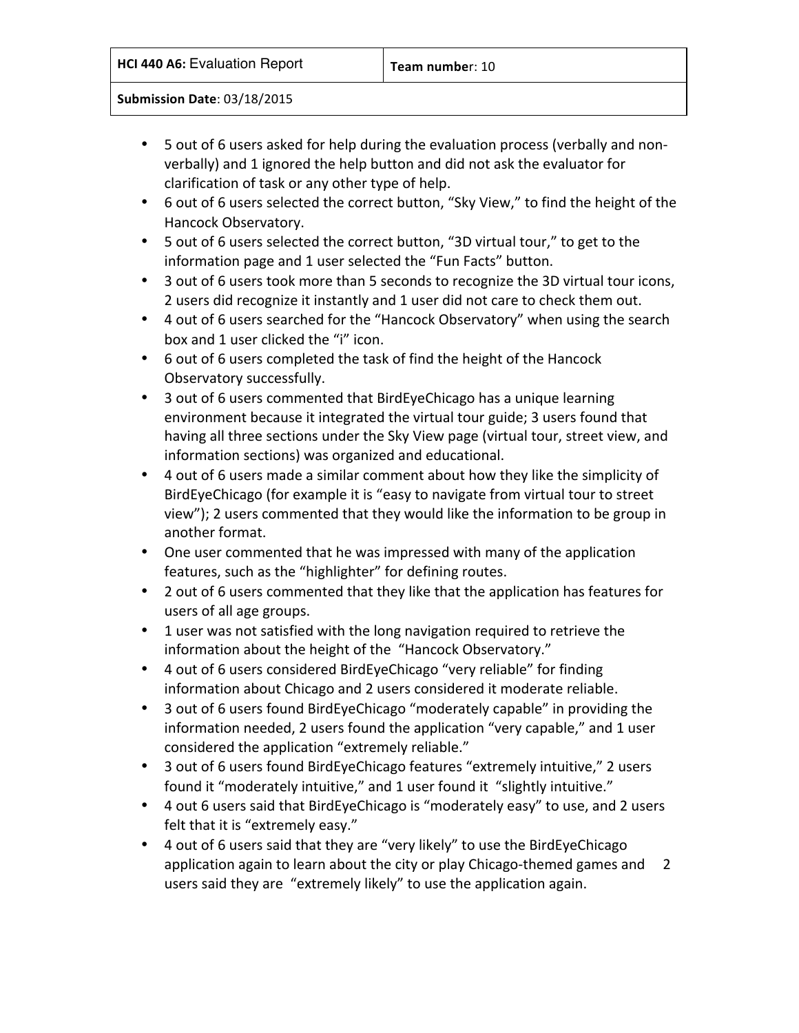|  |  |  | <b>HCI 440 A6: Evaluation Report</b> |  |
|--|--|--|--------------------------------------|--|
|--|--|--|--------------------------------------|--|

- 5 out of 6 users asked for help during the evaluation process (verbally and nonverbally) and 1 ignored the help button and did not ask the evaluator for clarification of task or any other type of help.
- 6 out of 6 users selected the correct button, "Sky View," to find the height of the Hancock Observatory.
- 5 out of 6 users selected the correct button, "3D virtual tour," to get to the information page and 1 user selected the "Fun Facts" button.
- 3 out of 6 users took more than 5 seconds to recognize the 3D virtual tour icons, 2 users did recognize it instantly and 1 user did not care to check them out.
- 4 out of 6 users searched for the "Hancock Observatory" when using the search box and 1 user clicked the "i" icon.
- 6 out of 6 users completed the task of find the height of the Hancock Observatory successfully.
- 3 out of 6 users commented that BirdEyeChicago has a unique learning environment because it integrated the virtual tour guide; 3 users found that having all three sections under the Sky View page (virtual tour, street view, and information sections) was organized and educational.
- 4 out of 6 users made a similar comment about how they like the simplicity of BirdEyeChicago (for example it is "easy to navigate from virtual tour to street view"); 2 users commented that they would like the information to be group in another format.
- One user commented that he was impressed with many of the application features, such as the "highlighter" for defining routes.
- 2 out of 6 users commented that they like that the application has features for users of all age groups.
- 1 user was not satisfied with the long navigation required to retrieve the information about the height of the "Hancock Observatory."
- 4 out of 6 users considered BirdEyeChicago "very reliable" for finding information about Chicago and 2 users considered it moderate reliable.
- 3 out of 6 users found BirdEyeChicago "moderately capable" in providing the information needed, 2 users found the application "very capable," and 1 user considered the application "extremely reliable."
- 3 out of 6 users found BirdEyeChicago features "extremely intuitive," 2 users found it "moderately intuitive," and 1 user found it "slightly intuitive."
- 4 out 6 users said that BirdEyeChicago is "moderately easy" to use, and 2 users felt that it is "extremely easy."
- 4 out of 6 users said that they are "very likely" to use the BirdEyeChicago application again to learn about the city or play Chicago-themed games and 2 users said they are "extremely likely" to use the application again.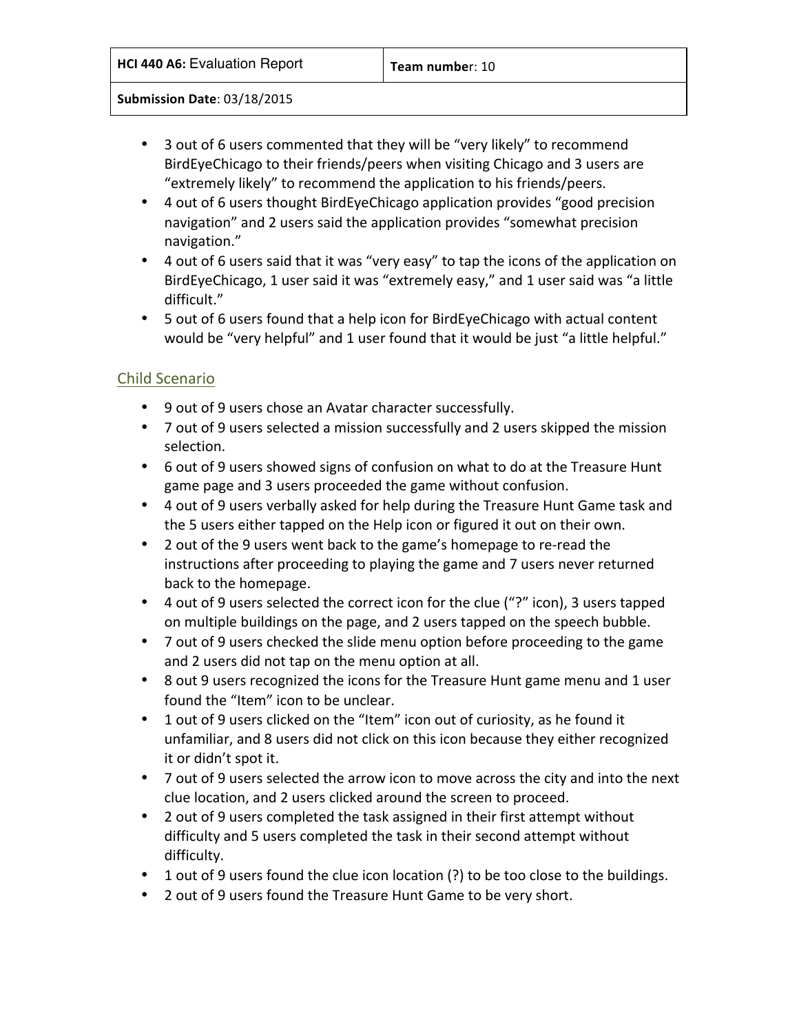- 3 out of 6 users commented that they will be "very likely" to recommend BirdEyeChicago to their friends/peers when visiting Chicago and 3 users are "extremely likely" to recommend the application to his friends/peers.
- 4 out of 6 users thought BirdEyeChicago application provides "good precision navigation" and 2 users said the application provides "somewhat precision navigation."
- 4 out of 6 users said that it was "very easy" to tap the icons of the application on BirdEyeChicago, 1 user said it was "extremely easy," and 1 user said was "a little difficult."
- 5 out of 6 users found that a help icon for BirdEyeChicago with actual content would be "very helpful" and 1 user found that it would be just "a little helpful."

#### Child Scenario

- 9 out of 9 users chose an Avatar character successfully.
- 7 out of 9 users selected a mission successfully and 2 users skipped the mission selection.
- 6 out of 9 users showed signs of confusion on what to do at the Treasure Hunt game page and 3 users proceeded the game without confusion.
- 4 out of 9 users verbally asked for help during the Treasure Hunt Game task and the 5 users either tapped on the Help icon or figured it out on their own.
- 2 out of the 9 users went back to the game's homepage to re-read the instructions after proceeding to playing the game and 7 users never returned back to the homepage.
- 4 out of 9 users selected the correct icon for the clue ("?" icon), 3 users tapped on multiple buildings on the page, and 2 users tapped on the speech bubble.
- 7 out of 9 users checked the slide menu option before proceeding to the game and 2 users did not tap on the menu option at all.
- 8 out 9 users recognized the icons for the Treasure Hunt game menu and 1 user found the "Item" icon to be unclear.
- 1 out of 9 users clicked on the "Item" icon out of curiosity, as he found it unfamiliar, and 8 users did not click on this icon because they either recognized it or didn't spot it.
- 7 out of 9 users selected the arrow icon to move across the city and into the next clue location, and 2 users clicked around the screen to proceed.
- 2 out of 9 users completed the task assigned in their first attempt without difficulty and 5 users completed the task in their second attempt without difficulty.
- 1 out of 9 users found the clue icon location (?) to be too close to the buildings.
- 2 out of 9 users found the Treasure Hunt Game to be very short.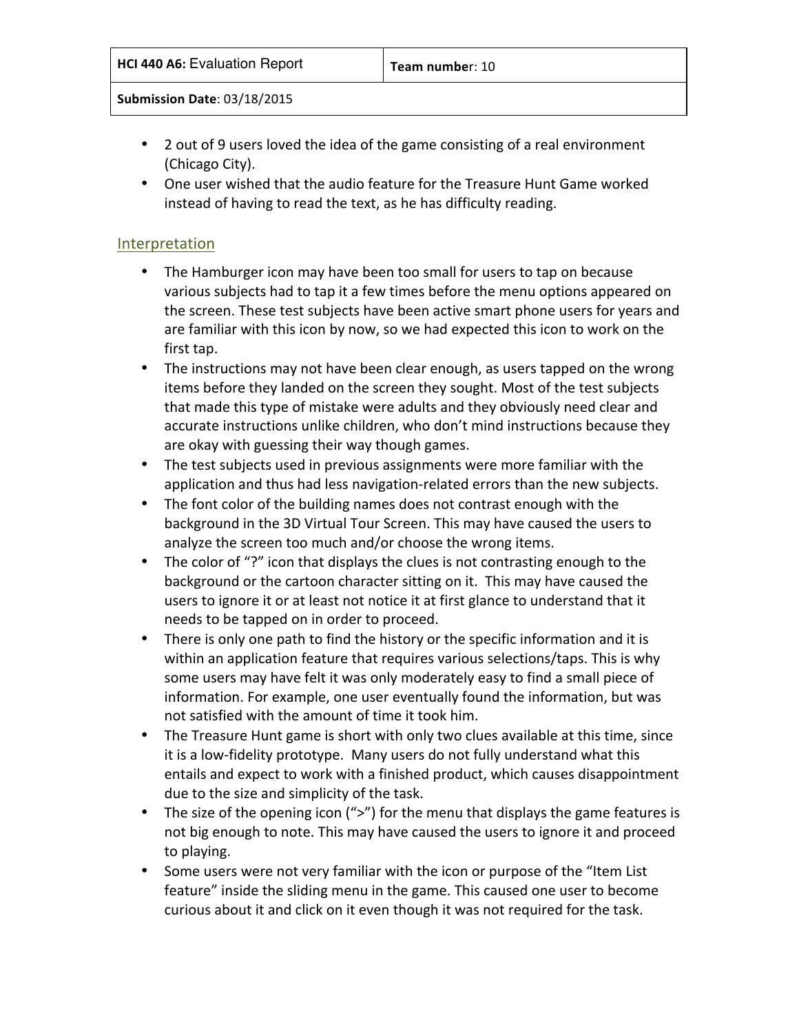- 2 out of 9 users loved the idea of the game consisting of a real environment (Chicago City).
- One user wished that the audio feature for the Treasure Hunt Game worked instead of having to read the text, as he has difficulty reading.

#### Interpretation

- The Hamburger icon may have been too small for users to tap on because various subjects had to tap it a few times before the menu options appeared on the screen. These test subjects have been active smart phone users for years and are familiar with this icon by now, so we had expected this icon to work on the first tap.
- The instructions may not have been clear enough, as users tapped on the wrong items before they landed on the screen they sought. Most of the test subjects that made this type of mistake were adults and they obviously need clear and accurate instructions unlike children, who don't mind instructions because they are okay with guessing their way though games.
- The test subjects used in previous assignments were more familiar with the application and thus had less navigation-related errors than the new subjects.
- The font color of the building names does not contrast enough with the background in the 3D Virtual Tour Screen. This may have caused the users to analyze the screen too much and/or choose the wrong items.
- The color of "?" icon that displays the clues is not contrasting enough to the background or the cartoon character sitting on it. This may have caused the users to ignore it or at least not notice it at first glance to understand that it needs to be tapped on in order to proceed.
- There is only one path to find the history or the specific information and it is within an application feature that requires various selections/taps. This is why some users may have felt it was only moderately easy to find a small piece of information. For example, one user eventually found the information, but was not satisfied with the amount of time it took him.
- The Treasure Hunt game is short with only two clues available at this time, since it is a low-fidelity prototype. Many users do not fully understand what this entails and expect to work with a finished product, which causes disappointment due to the size and simplicity of the task.
- The size of the opening icon (">") for the menu that displays the game features is not big enough to note. This may have caused the users to ignore it and proceed to playing.
- Some users were not very familiar with the icon or purpose of the "Item List" feature" inside the sliding menu in the game. This caused one user to become curious about it and click on it even though it was not required for the task.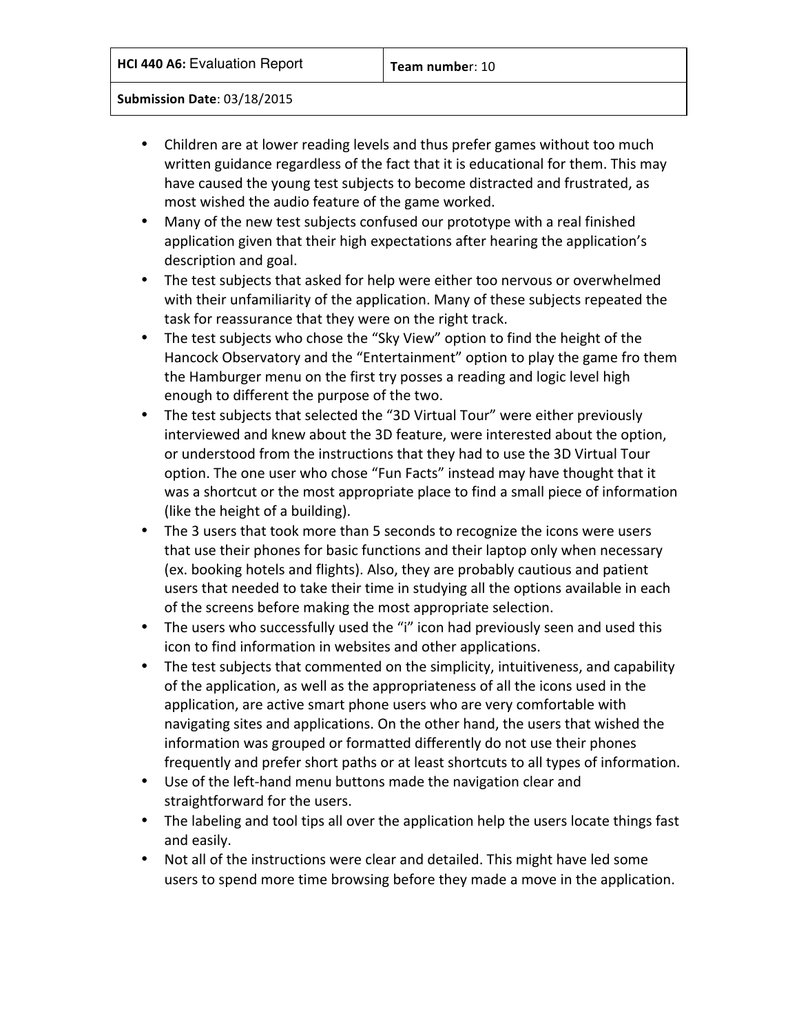- Children are at lower reading levels and thus prefer games without too much written guidance regardless of the fact that it is educational for them. This may have caused the young test subjects to become distracted and frustrated, as most wished the audio feature of the game worked.
- Many of the new test subjects confused our prototype with a real finished application given that their high expectations after hearing the application's description and goal.
- The test subjects that asked for help were either too nervous or overwhelmed with their unfamiliarity of the application. Many of these subjects repeated the task for reassurance that they were on the right track.
- The test subjects who chose the "Sky View" option to find the height of the Hancock Observatory and the "Entertainment" option to play the game fro them the Hamburger menu on the first try posses a reading and logic level high enough to different the purpose of the two.
- The test subjects that selected the "3D Virtual Tour" were either previously interviewed and knew about the 3D feature, were interested about the option, or understood from the instructions that they had to use the 3D Virtual Tour option. The one user who chose "Fun Facts" instead may have thought that it was a shortcut or the most appropriate place to find a small piece of information (like the height of a building).
- The 3 users that took more than 5 seconds to recognize the icons were users that use their phones for basic functions and their laptop only when necessary (ex. booking hotels and flights). Also, they are probably cautious and patient users that needed to take their time in studying all the options available in each of the screens before making the most appropriate selection.
- The users who successfully used the "i" icon had previously seen and used this icon to find information in websites and other applications.
- The test subjects that commented on the simplicity, intuitiveness, and capability of the application, as well as the appropriateness of all the icons used in the application, are active smart phone users who are very comfortable with navigating sites and applications. On the other hand, the users that wished the information was grouped or formatted differently do not use their phones frequently and prefer short paths or at least shortcuts to all types of information.
- Use of the left-hand menu buttons made the navigation clear and straightforward for the users.
- The labeling and tool tips all over the application help the users locate things fast and easily.
- Not all of the instructions were clear and detailed. This might have led some users to spend more time browsing before they made a move in the application.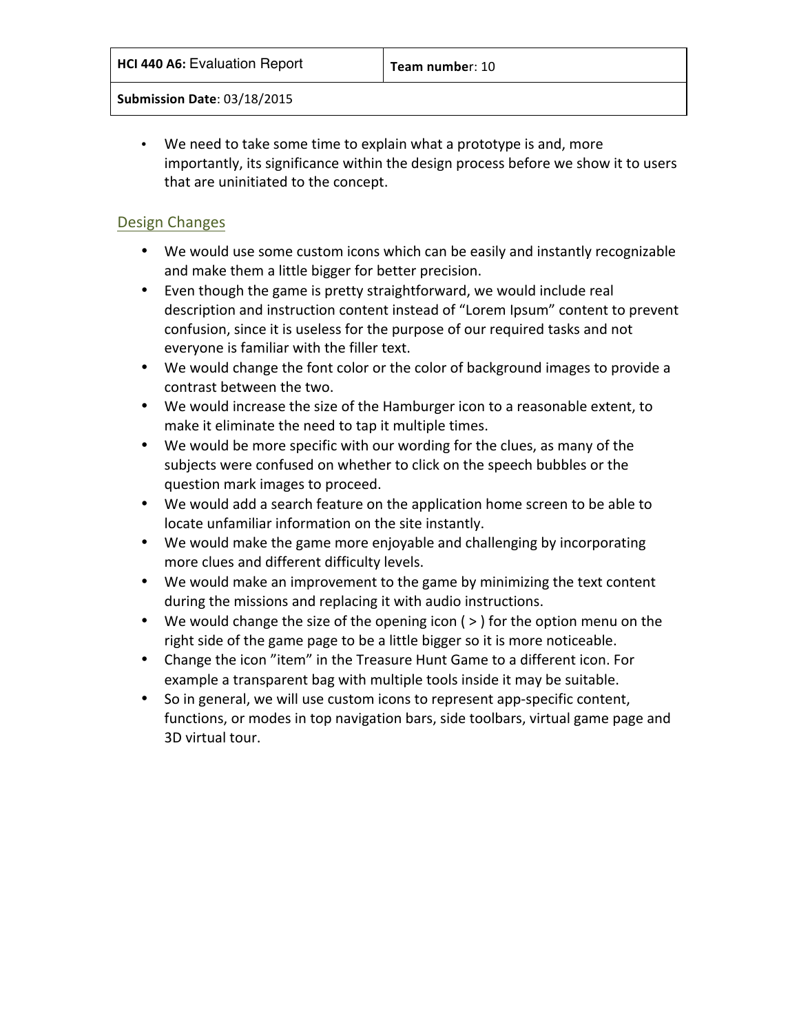• We need to take some time to explain what a prototype is and, more importantly, its significance within the design process before we show it to users that are uninitiated to the concept.

#### Design Changes

- We would use some custom icons which can be easily and instantly recognizable and make them a little bigger for better precision.
- Even though the game is pretty straightforward, we would include real description and instruction content instead of "Lorem Ipsum" content to prevent confusion, since it is useless for the purpose of our required tasks and not everyone is familiar with the filler text.
- We would change the font color or the color of background images to provide a contrast between the two.
- We would increase the size of the Hamburger icon to a reasonable extent, to make it eliminate the need to tap it multiple times.
- We would be more specific with our wording for the clues, as many of the subjects were confused on whether to click on the speech bubbles or the question mark images to proceed.
- We would add a search feature on the application home screen to be able to locate unfamiliar information on the site instantly.
- We would make the game more enjoyable and challenging by incorporating more clues and different difficulty levels.
- We would make an improvement to the game by minimizing the text content during the missions and replacing it with audio instructions.
- We would change the size of the opening icon  $(>)$  for the option menu on the right side of the game page to be a little bigger so it is more noticeable.
- Change the icon "item" in the Treasure Hunt Game to a different icon. For example a transparent bag with multiple tools inside it may be suitable.
- So in general, we will use custom icons to represent app-specific content, functions, or modes in top navigation bars, side toolbars, virtual game page and 3D virtual tour.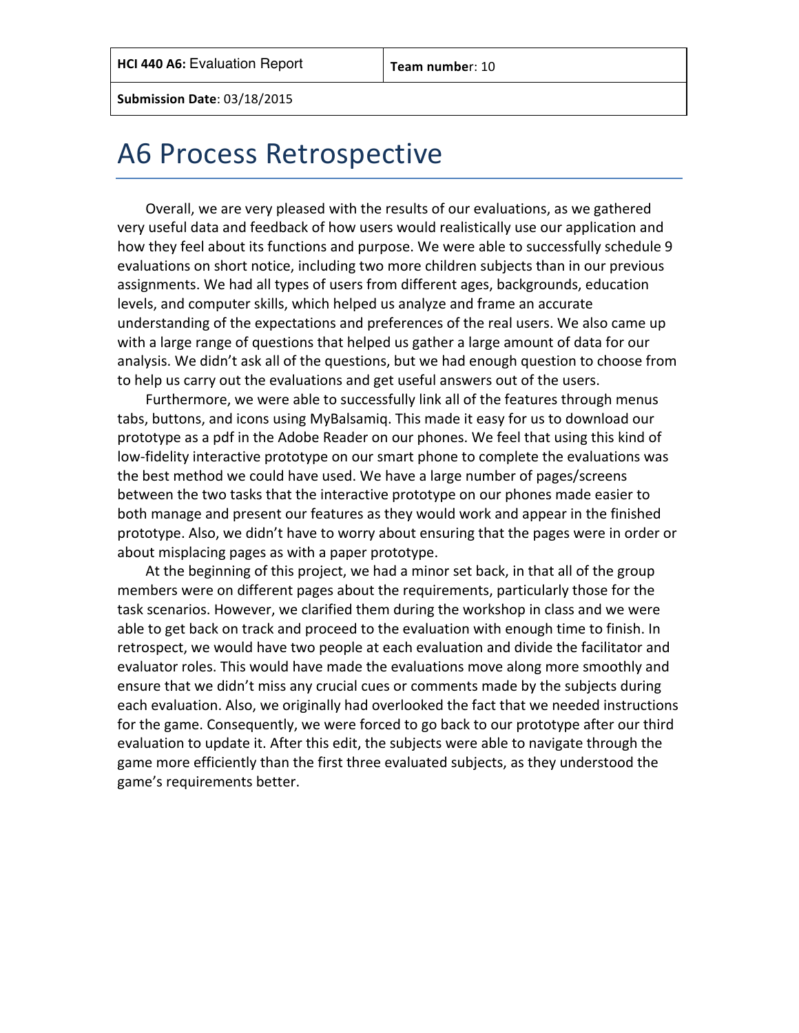### A6 Process Retrospective

Overall, we are very pleased with the results of our evaluations, as we gathered very useful data and feedback of how users would realistically use our application and how they feel about its functions and purpose. We were able to successfully schedule 9 evaluations on short notice, including two more children subjects than in our previous assignments. We had all types of users from different ages, backgrounds, education levels, and computer skills, which helped us analyze and frame an accurate understanding of the expectations and preferences of the real users. We also came up with a large range of questions that helped us gather a large amount of data for our analysis. We didn't ask all of the questions, but we had enough question to choose from to help us carry out the evaluations and get useful answers out of the users.

Furthermore, we were able to successfully link all of the features through menus tabs, buttons, and icons using MyBalsamig. This made it easy for us to download our prototype as a pdf in the Adobe Reader on our phones. We feel that using this kind of low-fidelity interactive prototype on our smart phone to complete the evaluations was the best method we could have used. We have a large number of pages/screens between the two tasks that the interactive prototype on our phones made easier to both manage and present our features as they would work and appear in the finished prototype. Also, we didn't have to worry about ensuring that the pages were in order or about misplacing pages as with a paper prototype.

At the beginning of this project, we had a minor set back, in that all of the group members were on different pages about the requirements, particularly those for the task scenarios. However, we clarified them during the workshop in class and we were able to get back on track and proceed to the evaluation with enough time to finish. In retrospect, we would have two people at each evaluation and divide the facilitator and evaluator roles. This would have made the evaluations move along more smoothly and ensure that we didn't miss any crucial cues or comments made by the subjects during each evaluation. Also, we originally had overlooked the fact that we needed instructions for the game. Consequently, we were forced to go back to our prototype after our third evaluation to update it. After this edit, the subjects were able to navigate through the game more efficiently than the first three evaluated subjects, as they understood the game's requirements better.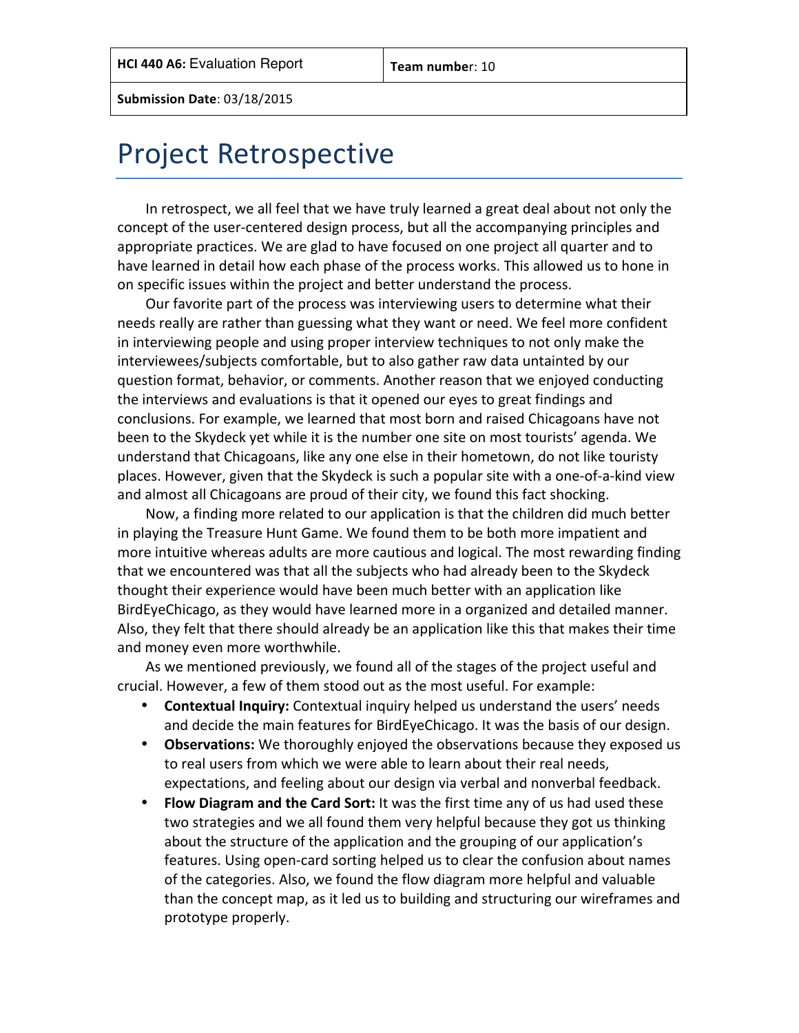### Project Retrospective

In retrospect, we all feel that we have truly learned a great deal about not only the concept of the user-centered design process, but all the accompanying principles and appropriate practices. We are glad to have focused on one project all quarter and to have learned in detail how each phase of the process works. This allowed us to hone in on specific issues within the project and better understand the process.

Our favorite part of the process was interviewing users to determine what their needs really are rather than guessing what they want or need. We feel more confident in interviewing people and using proper interview techniques to not only make the interviewees/subjects comfortable, but to also gather raw data untainted by our question format, behavior, or comments. Another reason that we enjoyed conducting the interviews and evaluations is that it opened our eyes to great findings and conclusions. For example, we learned that most born and raised Chicagoans have not been to the Skydeck yet while it is the number one site on most tourists' agenda. We understand that Chicagoans, like any one else in their hometown, do not like touristy places. However, given that the Skydeck is such a popular site with a one-of-a-kind view and almost all Chicagoans are proud of their city, we found this fact shocking.

Now, a finding more related to our application is that the children did much better in playing the Treasure Hunt Game. We found them to be both more impatient and more intuitive whereas adults are more cautious and logical. The most rewarding finding that we encountered was that all the subjects who had already been to the Skydeck thought their experience would have been much better with an application like BirdEyeChicago, as they would have learned more in a organized and detailed manner. Also, they felt that there should already be an application like this that makes their time and money even more worthwhile.

As we mentioned previously, we found all of the stages of the project useful and crucial. However, a few of them stood out as the most useful. For example:

- **Contextual Inquiry:** Contextual inquiry helped us understand the users' needs and decide the main features for BirdEyeChicago. It was the basis of our design.
- Observations: We thoroughly enjoyed the observations because they exposed us to real users from which we were able to learn about their real needs, expectations, and feeling about our design via verbal and nonverbal feedback.
- Flow Diagram and the Card Sort: It was the first time any of us had used these two strategies and we all found them very helpful because they got us thinking about the structure of the application and the grouping of our application's features. Using open-card sorting helped us to clear the confusion about names of the categories. Also, we found the flow diagram more helpful and valuable than the concept map, as it led us to building and structuring our wireframes and prototype properly.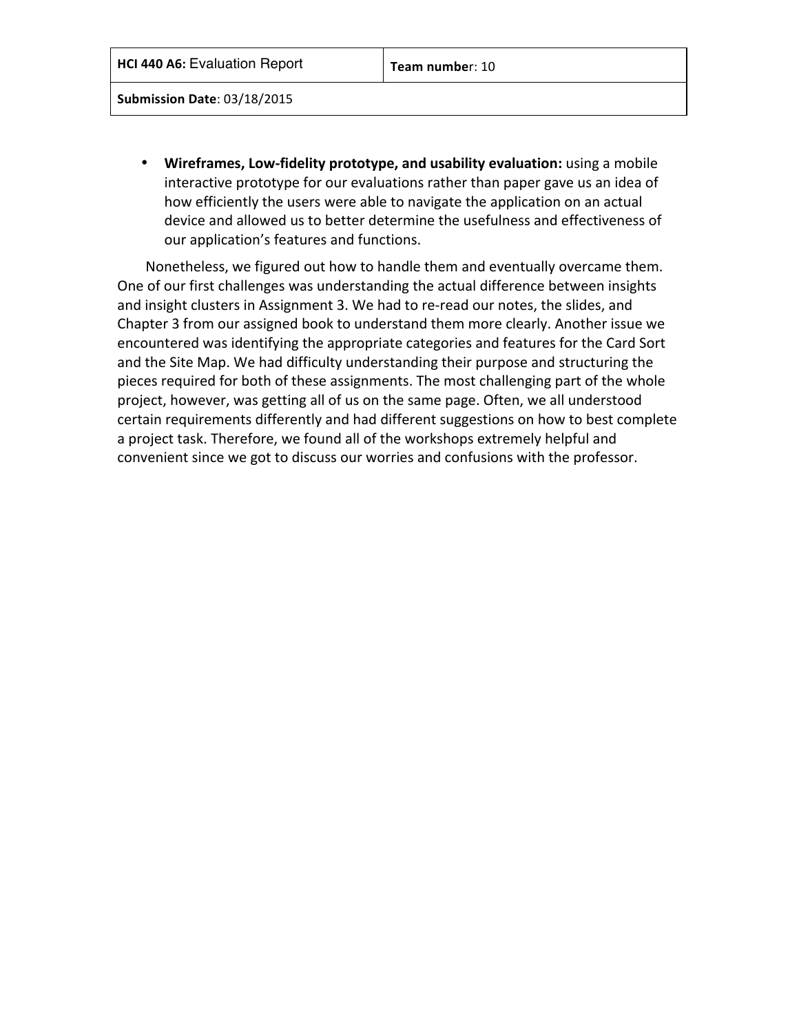• Wireframes, Low-fidelity prototype, and usability evaluation: using a mobile interactive prototype for our evaluations rather than paper gave us an idea of how efficiently the users were able to navigate the application on an actual device and allowed us to better determine the usefulness and effectiveness of our application's features and functions.

Nonetheless, we figured out how to handle them and eventually overcame them. One of our first challenges was understanding the actual difference between insights and insight clusters in Assignment 3. We had to re-read our notes, the slides, and Chapter 3 from our assigned book to understand them more clearly. Another issue we encountered was identifying the appropriate categories and features for the Card Sort and the Site Map. We had difficulty understanding their purpose and structuring the pieces required for both of these assignments. The most challenging part of the whole project, however, was getting all of us on the same page. Often, we all understood certain requirements differently and had different suggestions on how to best complete a project task. Therefore, we found all of the workshops extremely helpful and convenient since we got to discuss our worries and confusions with the professor.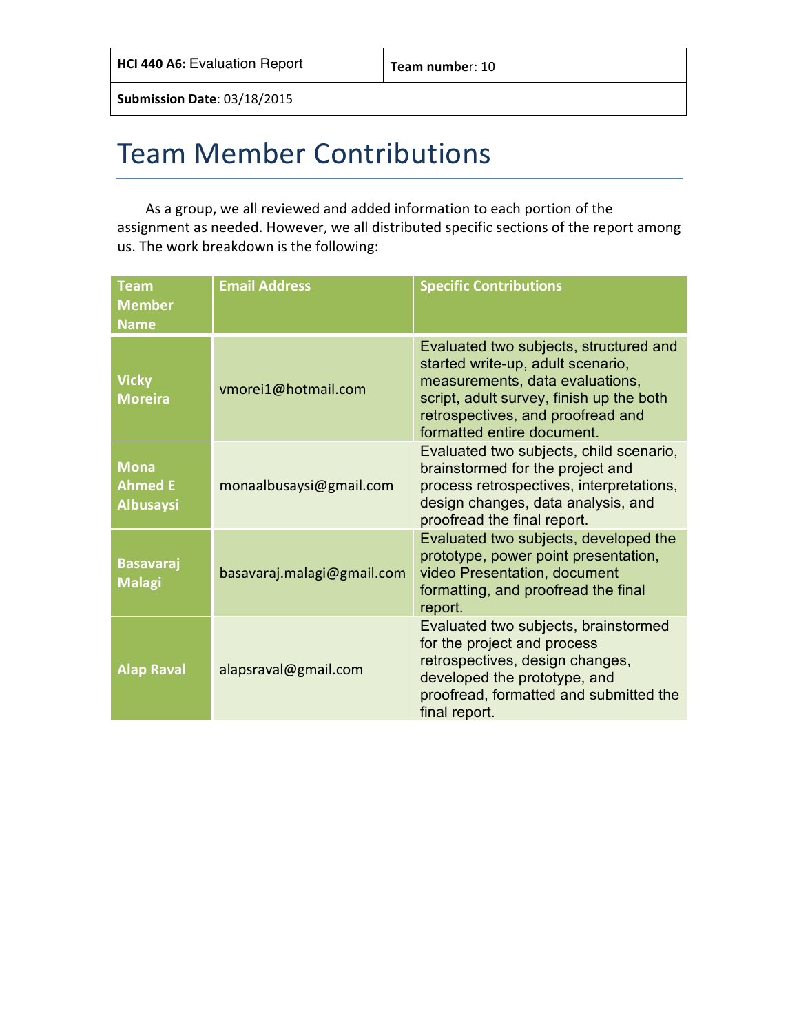## Team Member Contributions

As a group, we all reviewed and added information to each portion of the assignment as needed. However, we all distributed specific sections of the report among us. The work breakdown is the following:

| <b>Team</b><br><b>Member</b><br><b>Name</b>       | <b>Email Address</b>       | <b>Specific Contributions</b>                                                                                                                                                                                                 |
|---------------------------------------------------|----------------------------|-------------------------------------------------------------------------------------------------------------------------------------------------------------------------------------------------------------------------------|
| <b>Vicky</b><br><b>Moreira</b>                    | vmorei1@hotmail.com        | Evaluated two subjects, structured and<br>started write-up, adult scenario,<br>measurements, data evaluations,<br>script, adult survey, finish up the both<br>retrospectives, and proofread and<br>formatted entire document. |
| <b>Mona</b><br><b>Ahmed E</b><br><b>Albusaysi</b> | monaalbusaysi@gmail.com    | Evaluated two subjects, child scenario,<br>brainstormed for the project and<br>process retrospectives, interpretations,<br>design changes, data analysis, and<br>proofread the final report.                                  |
| <b>Basavaraj</b><br><b>Malagi</b>                 | basavaraj.malagi@gmail.com | Evaluated two subjects, developed the<br>prototype, power point presentation,<br>video Presentation, document<br>formatting, and proofread the final<br>report.                                                               |
| <b>Alap Raval</b>                                 | alapsraval@gmail.com       | Evaluated two subjects, brainstormed<br>for the project and process<br>retrospectives, design changes,<br>developed the prototype, and<br>proofread, formatted and submitted the<br>final report.                             |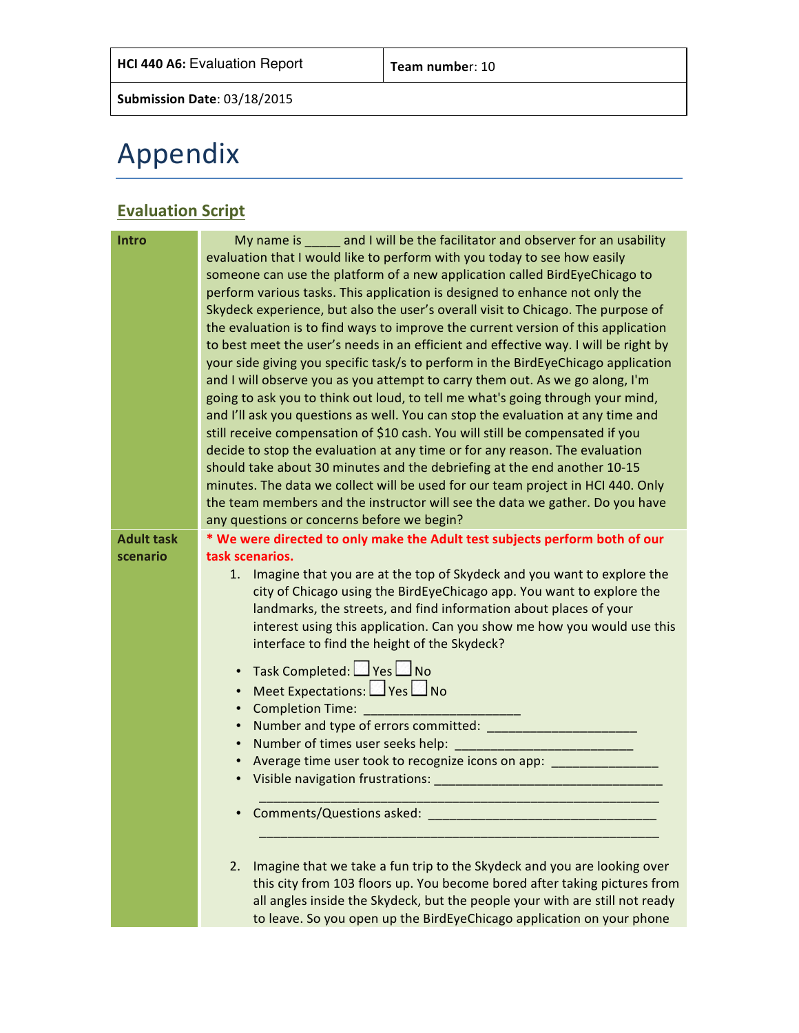# Appendix

### **Evaluation Script**

| <b>Intro</b>      | My name is _____ and I will be the facilitator and observer for an usability                                                |
|-------------------|-----------------------------------------------------------------------------------------------------------------------------|
|                   | evaluation that I would like to perform with you today to see how easily                                                    |
|                   | someone can use the platform of a new application called BirdEyeChicago to                                                  |
|                   | perform various tasks. This application is designed to enhance not only the                                                 |
|                   | Skydeck experience, but also the user's overall visit to Chicago. The purpose of                                            |
|                   | the evaluation is to find ways to improve the current version of this application                                           |
|                   | to best meet the user's needs in an efficient and effective way. I will be right by                                         |
|                   | your side giving you specific task/s to perform in the BirdEyeChicago application                                           |
|                   | and I will observe you as you attempt to carry them out. As we go along, I'm                                                |
|                   | going to ask you to think out loud, to tell me what's going through your mind,                                              |
|                   | and I'll ask you questions as well. You can stop the evaluation at any time and                                             |
|                   | still receive compensation of \$10 cash. You will still be compensated if you                                               |
|                   | decide to stop the evaluation at any time or for any reason. The evaluation                                                 |
|                   | should take about 30 minutes and the debriefing at the end another 10-15                                                    |
|                   | minutes. The data we collect will be used for our team project in HCI 440. Only                                             |
|                   | the team members and the instructor will see the data we gather. Do you have                                                |
|                   | any questions or concerns before we begin?                                                                                  |
| <b>Adult task</b> | * We were directed to only make the Adult test subjects perform both of our                                                 |
| scenario          | task scenarios.                                                                                                             |
|                   | 1. Imagine that you are at the top of Skydeck and you want to explore the                                                   |
|                   | city of Chicago using the BirdEyeChicago app. You want to explore the                                                       |
|                   | landmarks, the streets, and find information about places of your                                                           |
|                   | interest using this application. Can you show me how you would use this                                                     |
|                   | interface to find the height of the Skydeck?                                                                                |
|                   | Task Completed: Yes No<br>$\bullet$                                                                                         |
|                   | Meet Expectations: PYes<br>$\bullet$                                                                                        |
|                   | Completion Time: _______<br>$\bullet$                                                                                       |
|                   | $\bullet$                                                                                                                   |
|                   | $\bullet$                                                                                                                   |
|                   | Average time user took to recognize icons on app: _________________<br>$\bullet$                                            |
|                   | Visible navigation frustrations: National Communications of the Communications of the Communications of the Co<br>$\bullet$ |
|                   | Comments/Questions asked:                                                                                                   |
|                   |                                                                                                                             |
|                   |                                                                                                                             |
|                   | Imagine that we take a fun trip to the Skydeck and you are looking over<br>2.                                               |
|                   | this city from 103 floors up. You become bored after taking pictures from                                                   |
|                   | all angles inside the Skydeck, but the people your with are still not ready                                                 |
|                   | to leave. So you open up the BirdEyeChicago application on your phone                                                       |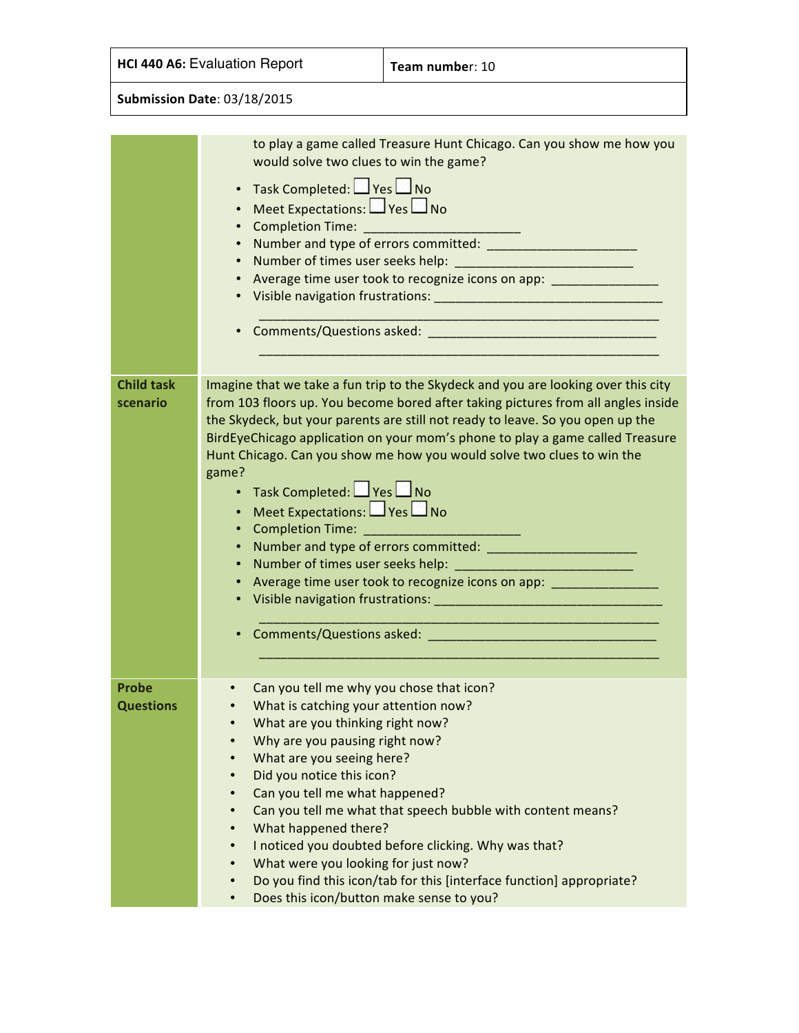|  |  | <b>HCI 440 A6: Evaluation Report</b> |  |
|--|--|--------------------------------------|--|
|--|--|--------------------------------------|--|

**Team number:** 10

|                                  | to play a game called Treasure Hunt Chicago. Can you show me how you<br>would solve two clues to win the game?<br>Task Completed: Ves No<br>$\bullet$<br>Meet Expectations: Ves No<br>$\bullet$<br>$\bullet$<br>$\bullet$<br>Average time user took to recognize icons on app: ______________________________<br>$\bullet$<br>$\bullet$                                                                                                                  |  |  |  |  |  |
|----------------------------------|----------------------------------------------------------------------------------------------------------------------------------------------------------------------------------------------------------------------------------------------------------------------------------------------------------------------------------------------------------------------------------------------------------------------------------------------------------|--|--|--|--|--|
| <b>Child task</b><br>scenario    | Imagine that we take a fun trip to the Skydeck and you are looking over this city<br>from 103 floors up. You become bored after taking pictures from all angles inside<br>the Skydeck, but your parents are still not ready to leave. So you open up the<br>BirdEyeChicago application on your mom's phone to play a game called Treasure<br>Hunt Chicago. Can you show me how you would solve two clues to win the<br>game?<br>• Task Completed: Pes No |  |  |  |  |  |
|                                  | Meet Expectations: PYes DNo<br>Completion Time: ____________________________<br>$\bullet$<br>$\bullet$<br>Average time user took to recognize icons on app: _______________________________<br>$\bullet$                                                                                                                                                                                                                                                 |  |  |  |  |  |
|                                  |                                                                                                                                                                                                                                                                                                                                                                                                                                                          |  |  |  |  |  |
| <b>Probe</b><br><b>Questions</b> | Can you tell me why you chose that icon?<br>$\bullet$<br>What is catching your attention now?                                                                                                                                                                                                                                                                                                                                                            |  |  |  |  |  |
|                                  | What are you thinking right now?<br>Why are you pausing right now?<br>What are you seeing here?<br>$\bullet$<br>Did you notice this icon?<br>$\bullet$                                                                                                                                                                                                                                                                                                   |  |  |  |  |  |
|                                  | Can you tell me what happened?<br>$\bullet$<br>Can you tell me what that speech bubble with content means?<br>$\bullet$<br>What happened there?<br>$\bullet$<br>I noticed you doubted before clicking. Why was that?<br>$\bullet$                                                                                                                                                                                                                        |  |  |  |  |  |
|                                  | What were you looking for just now?<br>$\bullet$<br>Do you find this icon/tab for this [interface function] appropriate?<br>$\bullet$<br>Does this icon/button make sense to you?<br>$\bullet$                                                                                                                                                                                                                                                           |  |  |  |  |  |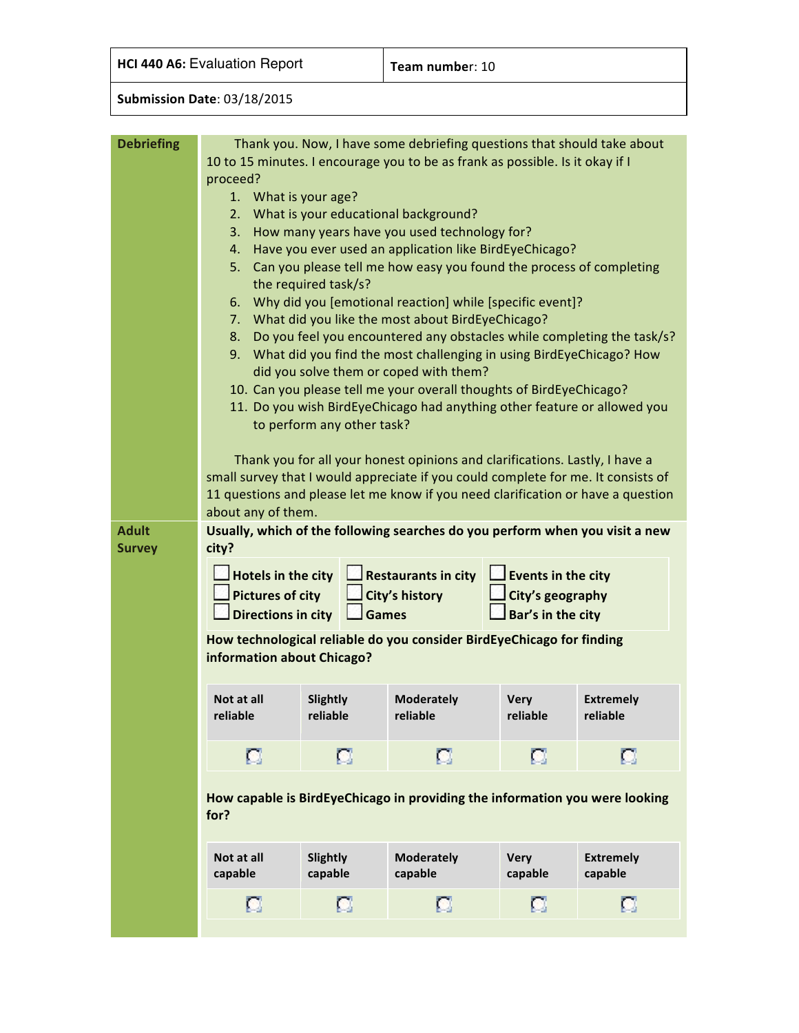**HCI 440 A6:** Evaluation Report **Team number:** 10

| <b>Debriefing</b> |                                                                                                                                                               |                            | Thank you. Now, I have some debriefing questions that should take about                                       |                           |                             |  |  |
|-------------------|---------------------------------------------------------------------------------------------------------------------------------------------------------------|----------------------------|---------------------------------------------------------------------------------------------------------------|---------------------------|-----------------------------|--|--|
|                   |                                                                                                                                                               |                            | 10 to 15 minutes. I encourage you to be as frank as possible. Is it okay if I                                 |                           |                             |  |  |
|                   | proceed?<br>1. What is your age?                                                                                                                              |                            |                                                                                                               |                           |                             |  |  |
|                   | 2.                                                                                                                                                            |                            | What is your educational background?                                                                          |                           |                             |  |  |
|                   | 3.                                                                                                                                                            |                            | How many years have you used technology for?                                                                  |                           |                             |  |  |
|                   | 4.                                                                                                                                                            |                            | Have you ever used an application like BirdEyeChicago?                                                        |                           |                             |  |  |
|                   | Can you please tell me how easy you found the process of completing<br>5.<br>the required task/s?<br>Why did you [emotional reaction] while [specific event]? |                            |                                                                                                               |                           |                             |  |  |
|                   |                                                                                                                                                               |                            |                                                                                                               |                           |                             |  |  |
|                   | 6.<br>7.                                                                                                                                                      |                            | What did you like the most about BirdEyeChicago?                                                              |                           |                             |  |  |
|                   | 8.                                                                                                                                                            |                            | Do you feel you encountered any obstacles while completing the task/s?                                        |                           |                             |  |  |
|                   |                                                                                                                                                               |                            | 9. What did you find the most challenging in using BirdEyeChicago? How                                        |                           |                             |  |  |
|                   |                                                                                                                                                               |                            | did you solve them or coped with them?<br>10. Can you please tell me your overall thoughts of BirdEyeChicago? |                           |                             |  |  |
|                   |                                                                                                                                                               |                            | 11. Do you wish BirdEyeChicago had anything other feature or allowed you                                      |                           |                             |  |  |
|                   |                                                                                                                                                               | to perform any other task? |                                                                                                               |                           |                             |  |  |
|                   |                                                                                                                                                               |                            | Thank you for all your honest opinions and clarifications. Lastly, I have a                                   |                           |                             |  |  |
|                   |                                                                                                                                                               |                            | small survey that I would appreciate if you could complete for me. It consists of                             |                           |                             |  |  |
|                   | about any of them.                                                                                                                                            |                            | 11 questions and please let me know if you need clarification or have a question                              |                           |                             |  |  |
| <b>Adult</b>      |                                                                                                                                                               |                            | Usually, which of the following searches do you perform when you visit a new                                  |                           |                             |  |  |
| <b>Survey</b>     | city?                                                                                                                                                         |                            |                                                                                                               |                           |                             |  |  |
|                   | <b>Hotels in the city</b>                                                                                                                                     |                            | <b>Restaurants in city</b>                                                                                    | $\Box$ Events in the city |                             |  |  |
|                   | <b>Pictures of city</b>                                                                                                                                       |                            | <b>City's history</b>                                                                                         | City's geography          |                             |  |  |
|                   | Directions in city                                                                                                                                            | <b>Games</b>               |                                                                                                               | Bar's in the city         |                             |  |  |
|                   |                                                                                                                                                               |                            | How technological reliable do you consider BirdEyeChicago for finding                                         |                           |                             |  |  |
|                   | information about Chicago?                                                                                                                                    |                            |                                                                                                               |                           |                             |  |  |
|                   | Not at all                                                                                                                                                    | Slightly                   | <b>Moderately</b>                                                                                             | <b>Very</b>               | <b>Extremely</b>            |  |  |
|                   | reliable                                                                                                                                                      | reliable                   | reliable                                                                                                      |                           |                             |  |  |
|                   | а<br>о<br>а<br>а                                                                                                                                              |                            |                                                                                                               |                           |                             |  |  |
|                   | How capable is BirdEyeChicago in providing the information you were looking<br>for?                                                                           |                            |                                                                                                               |                           |                             |  |  |
|                   | Not at all<br>capable                                                                                                                                         | <b>Slightly</b><br>capable | <b>Moderately</b><br>capable                                                                                  | <b>Very</b><br>capable    | <b>Extremely</b><br>capable |  |  |
|                   | о                                                                                                                                                             | о                          | о                                                                                                             | о                         | о                           |  |  |
|                   |                                                                                                                                                               |                            |                                                                                                               |                           |                             |  |  |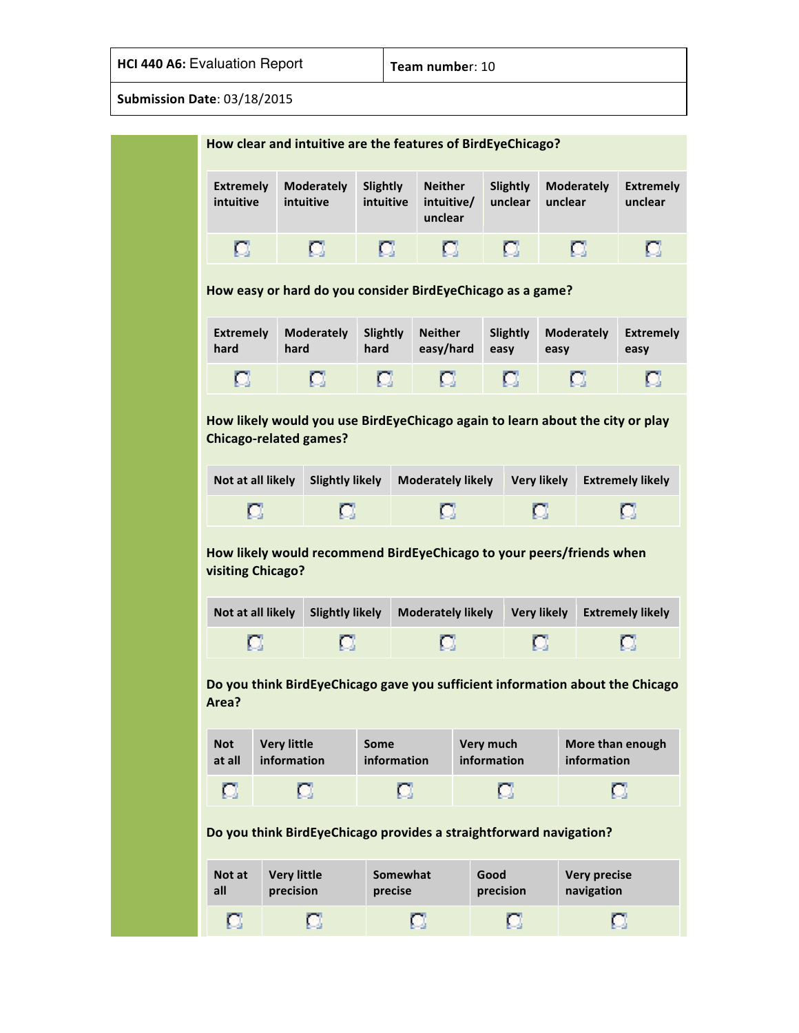| How clear and intuitive are the features of BirdEyeChicago?                                   |                                 |                                |                              |                                                                               |                   |                     |         |                                   |                                             |
|-----------------------------------------------------------------------------------------------|---------------------------------|--------------------------------|------------------------------|-------------------------------------------------------------------------------|-------------------|---------------------|---------|-----------------------------------|---------------------------------------------|
| <b>Extremely</b><br>intuitive                                                                 |                                 | <b>Moderately</b><br>intuitive | <b>Slightly</b><br>intuitive | <b>Neither</b><br>intuitive/<br>unclear                                       |                   | Slightly<br>unclear | unclear | <b>Moderately</b>                 | <b>Extremely</b><br>unclear                 |
| о                                                                                             |                                 | о                              | о                            | о                                                                             |                   | а                   |         | о                                 | о                                           |
|                                                                                               |                                 |                                |                              | How easy or hard do you consider BirdEyeChicago as a game?                    |                   |                     |         |                                   |                                             |
| <b>Extremely</b><br>hard                                                                      | hard                            | <b>Moderately</b>              | Slightly<br>hard             | <b>Neither</b><br>easy/hard                                                   | easy              | Slightly            | easy    | <b>Moderately</b>                 | <b>Extremely</b><br>easy                    |
| а                                                                                             |                                 | а                              | о                            | о                                                                             |                   | а                   |         | О                                 | о                                           |
| Not at all likely<br><b>Slightly likely</b><br><b>Moderately likely</b><br><b>Very likely</b> |                                 |                                |                              |                                                                               |                   |                     |         |                                   |                                             |
|                                                                                               |                                 |                                |                              |                                                                               |                   |                     |         |                                   | <b>Extremely likely</b>                     |
|                                                                                               | о                               | L.                             |                              | o<br>How likely would recommend BirdEyeChicago to your peers/friends when     |                   | о                   |         |                                   | a                                           |
| visiting Chicago?                                                                             | Not at all likely               | <b>Slightly likely</b>         |                              | <b>Moderately likely</b>                                                      |                   | <b>Very likely</b>  |         |                                   |                                             |
|                                                                                               | o                               | о                              |                              | о                                                                             |                   | о                   |         |                                   | a                                           |
| Area?<br><b>Not</b>                                                                           | <b>Very little</b>              |                                | Some                         | Do you think BirdEyeChicago gave you sufficient information about the Chicago | <b>Very much</b>  |                     |         |                                   |                                             |
| at all                                                                                        | information                     |                                | information                  |                                                                               | information       |                     |         | information                       | <b>Extremely likely</b><br>More than enough |
| а                                                                                             |                                 | о                              |                              | о                                                                             | о                 |                     |         |                                   | о                                           |
|                                                                                               |                                 |                                |                              | Do you think BirdEyeChicago provides a straightforward navigation?            |                   |                     |         |                                   |                                             |
| Not at<br>all                                                                                 | <b>Very little</b><br>precision |                                | Somewhat<br>precise          |                                                                               | Good<br>precision |                     |         | <b>Very precise</b><br>navigation |                                             |